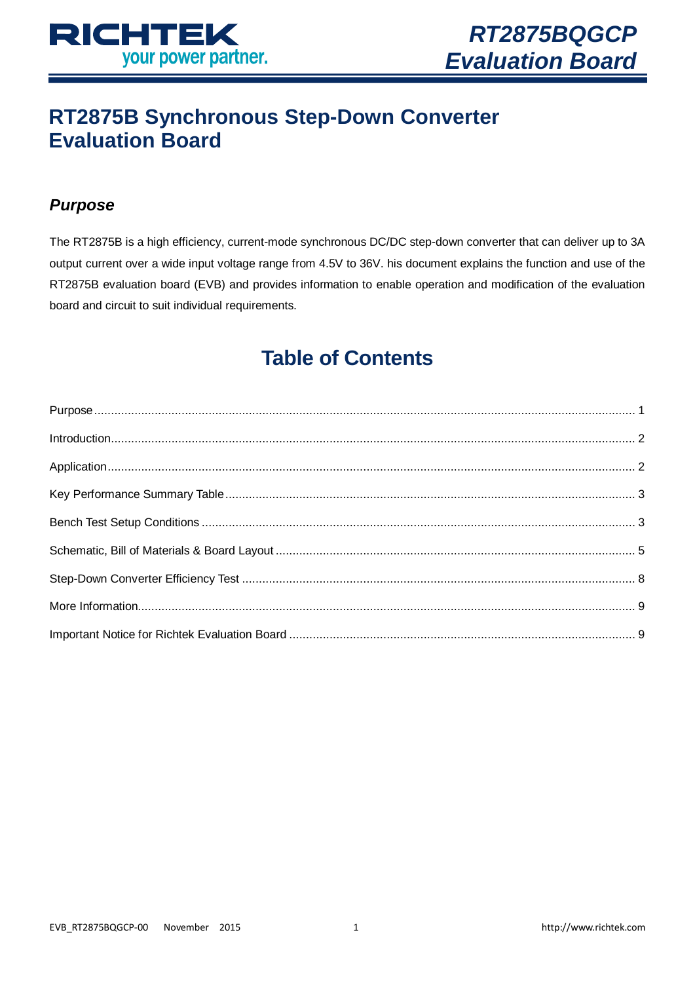

# **RT2875B Synchronous Step-Down Converter Evaluation Board**

# <span id="page-0-0"></span>*Purpose*

The RT2875B is a high efficiency, current-mode synchronous DC/DC step-down converter that can deliver up to 3A output current over a wide input voltage range from 4.5V to 36V. his document explains the function and use of the RT2875B evaluation board (EVB) and provides information to enable operation and modification of the evaluation board and circuit to suit individual requirements.

# **Table of Contents**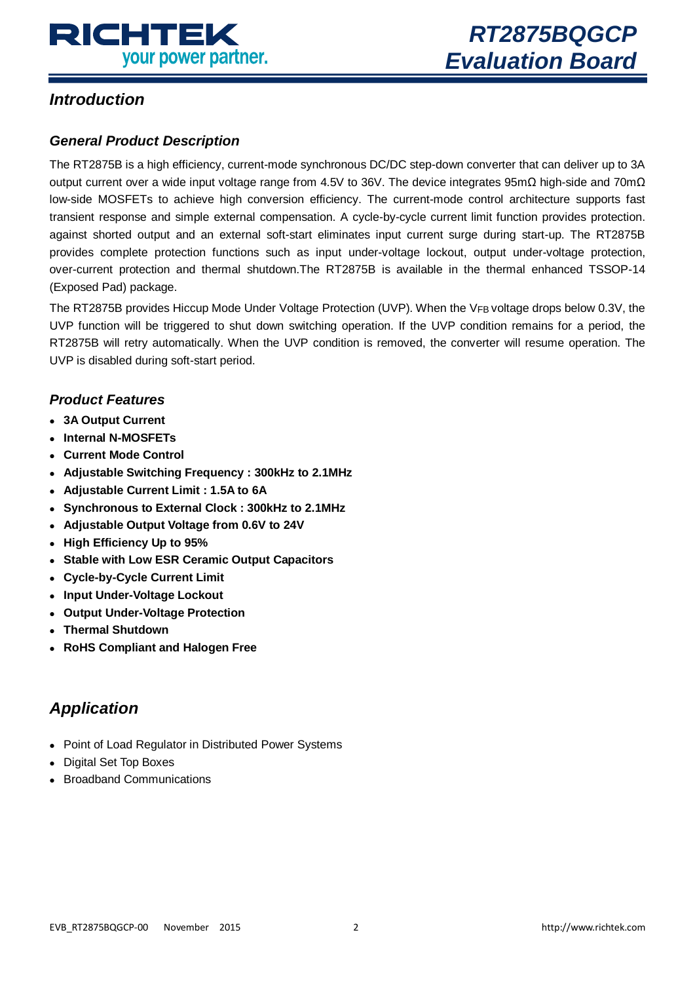

### <span id="page-1-0"></span>*Introduction*

#### *General Product Description*

The RT2875B is a high efficiency, current-mode synchronous DC/DC step-down converter that can deliver up to 3A output current over a wide input voltage range from 4.5V to 36V. The device integrates 95mΩ high-side and 70mΩ low-side MOSFETs to achieve high conversion efficiency. The current-mode control architecture supports fast transient response and simple external compensation. A cycle-by-cycle current limit function provides protection. against shorted output and an external soft-start eliminates input current surge during start-up. The RT2875B provides complete protection functions such as input under-voltage lockout, output under-voltage protection, over-current protection and thermal shutdown.The RT2875B is available in the thermal enhanced TSSOP-14 (Exposed Pad) package.

The RT2875B provides Hiccup Mode Under Voltage Protection (UVP). When the VFB voltage drops below 0.3V, the UVP function will be triggered to shut down switching operation. If the UVP condition remains for a period, the RT2875B will retry automatically. When the UVP condition is removed, the converter will resume operation. The UVP is disabled during soft-start period.

#### *Product Features*

- **3A Output Current**
- **Internal N-MOSFETs**
- **Current Mode Control**
- **Adjustable Switching Frequency : 300kHz to 2.1MHz**
- **Adjustable Current Limit : 1.5A to 6A**
- **Synchronous to External Clock : 300kHz to 2.1MHz**
- **Adjustable Output Voltage from 0.6V to 24V**
- **High Efficiency Up to 95%**
- **Stable with Low ESR Ceramic Output Capacitors**
- **Cycle-by-Cycle Current Limit**
- **Input Under-Voltage Lockout**
- **Output Under-Voltage Protection**
- **Thermal Shutdown**
- <span id="page-1-1"></span>**RoHS Compliant and Halogen Free**

# *Application*

- Point of Load Regulator in Distributed Power Systems
- Digital Set Top Boxes
- Broadband Communications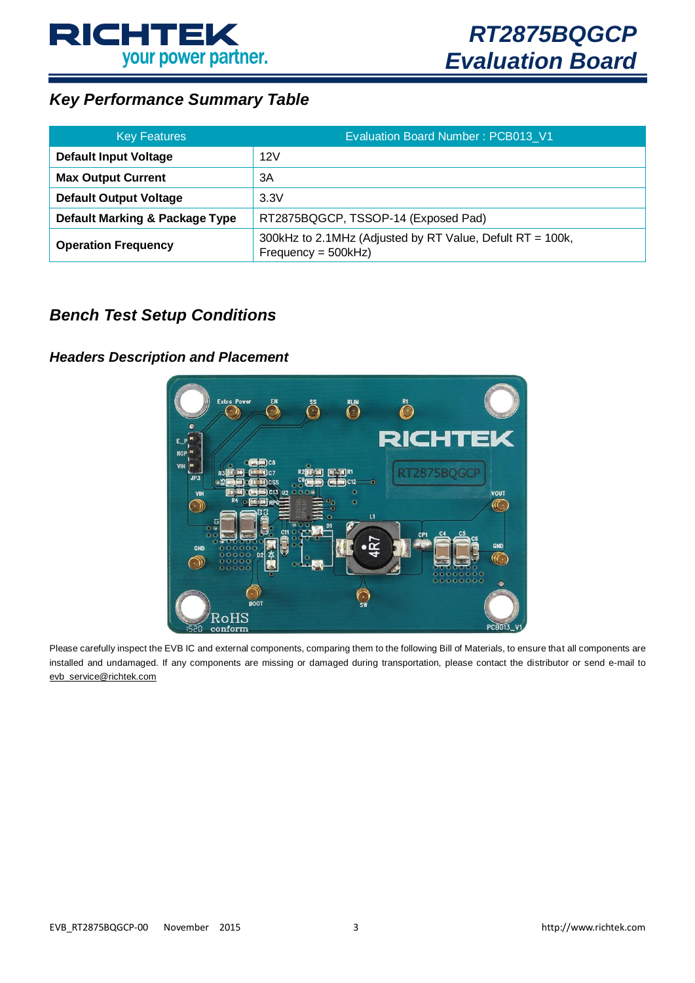

# <span id="page-2-0"></span>*Key Performance Summary Table*

| <b>Key Features</b>            | Evaluation Board Number: PCB013 V1                                                |
|--------------------------------|-----------------------------------------------------------------------------------|
| <b>Default Input Voltage</b>   | 12V                                                                               |
| <b>Max Output Current</b>      | 3A                                                                                |
| <b>Default Output Voltage</b>  | 3.3V                                                                              |
| Default Marking & Package Type | RT2875BQGCP, TSSOP-14 (Exposed Pad)                                               |
| <b>Operation Frequency</b>     | 300kHz to 2.1MHz (Adjusted by RT Value, Defult RT = 100k,<br>$Frequency = 500kHz$ |

### <span id="page-2-1"></span>*Bench Test Setup Conditions*

#### *Headers Description and Placement*



Please carefully inspect the EVB IC and external components, comparing them to the following Bill of Materials, to ensure that all components are installed and undamaged. If any components are missing or damaged during transportation, please contact the distributor or send e-mail to [evb\\_service@richtek.com](mailto:evb_service@richtek.com)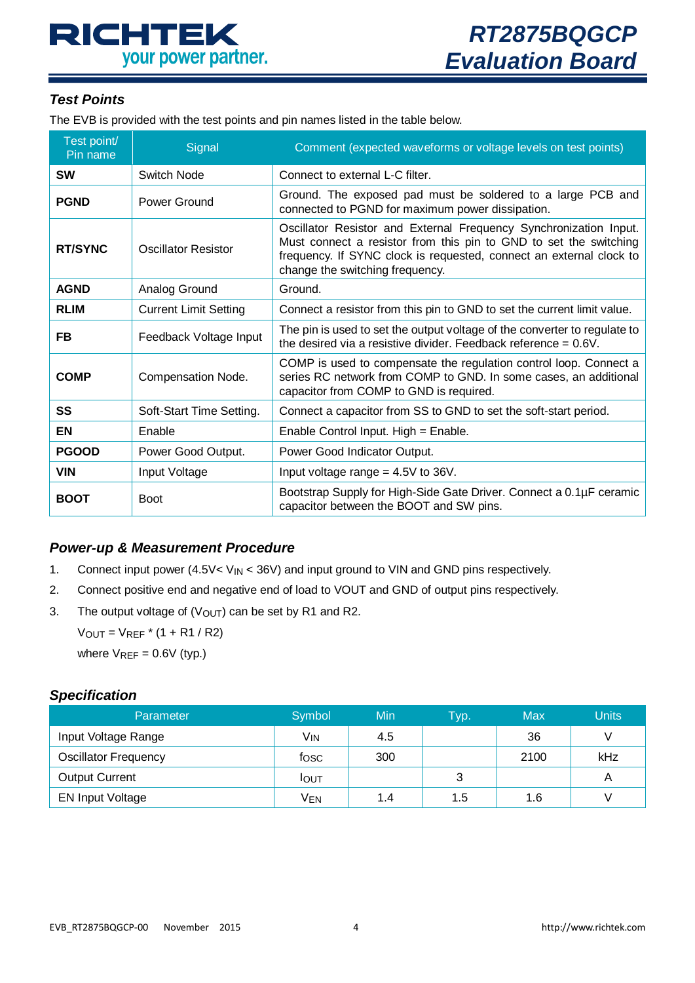# **RICHTEK** your power partner.

#### *Test Points*

The EVB is provided with the test points and pin names listed in the table below.

| Test point/<br>Pin name | Signal                       | Comment (expected waveforms or voltage levels on test points)                                                                                                                                                                                    |
|-------------------------|------------------------------|--------------------------------------------------------------------------------------------------------------------------------------------------------------------------------------------------------------------------------------------------|
| <b>SW</b>               | Switch Node                  | Connect to external L-C filter.                                                                                                                                                                                                                  |
| <b>PGND</b>             | Power Ground                 | Ground. The exposed pad must be soldered to a large PCB and<br>connected to PGND for maximum power dissipation.                                                                                                                                  |
| <b>RT/SYNC</b>          | Oscillator Resistor          | Oscillator Resistor and External Frequency Synchronization Input.<br>Must connect a resistor from this pin to GND to set the switching<br>frequency. If SYNC clock is requested, connect an external clock to<br>change the switching frequency. |
| <b>AGND</b>             | Analog Ground                | Ground.                                                                                                                                                                                                                                          |
| <b>RLIM</b>             | <b>Current Limit Setting</b> | Connect a resistor from this pin to GND to set the current limit value.                                                                                                                                                                          |
| FB                      | Feedback Voltage Input       | The pin is used to set the output voltage of the converter to regulate to<br>the desired via a resistive divider. Feedback reference = $0.6V$ .                                                                                                  |
| <b>COMP</b>             | Compensation Node.           | COMP is used to compensate the regulation control loop. Connect a<br>series RC network from COMP to GND. In some cases, an additional<br>capacitor from COMP to GND is required.                                                                 |
| SS                      | Soft-Start Time Setting.     | Connect a capacitor from SS to GND to set the soft-start period.                                                                                                                                                                                 |
| EN                      | Enable                       | Enable Control Input. High = Enable.                                                                                                                                                                                                             |
| <b>PGOOD</b>            | Power Good Output.           | Power Good Indicator Output.                                                                                                                                                                                                                     |
| <b>VIN</b>              | Input Voltage                | Input voltage range $= 4.5V$ to 36V.                                                                                                                                                                                                             |
| <b>BOOT</b>             | <b>Boot</b>                  | Bootstrap Supply for High-Side Gate Driver. Connect a 0.1µF ceramic<br>capacitor between the BOOT and SW pins.                                                                                                                                   |

#### *Power-up & Measurement Procedure*

- 1. Connect input power  $(4.5\sqrt{\sqrt{N}} < 36\sqrt{N})$  and input ground to VIN and GND pins respectively.
- 2. Connect positive end and negative end of load to VOUT and GND of output pins respectively.
- 3. The output voltage of  $(V<sub>OUT</sub>)$  can be set by R1 and R2.

 $V_{OUT} = V_{REF} * (1 + R1 / R2)$ 

where  $V_{REF} = 0.6V$  (typ.)

#### *Specification*

| <b>Parameter</b>            | Symbol          | <b>Min</b> | <b>Typ.</b> | <b>Max</b> | Units |
|-----------------------------|-----------------|------------|-------------|------------|-------|
| Input Voltage Range         | V <sub>IN</sub> | 4.5        |             | 36         |       |
| <b>Oscillator Frequency</b> | fosc            | 300        |             | 2100       | kHz   |
| <b>Output Current</b>       | <b>I</b> OUT    |            |             |            | A     |
| <b>EN Input Voltage</b>     | Ven             | 1.4        | 1.5         | 1.6        |       |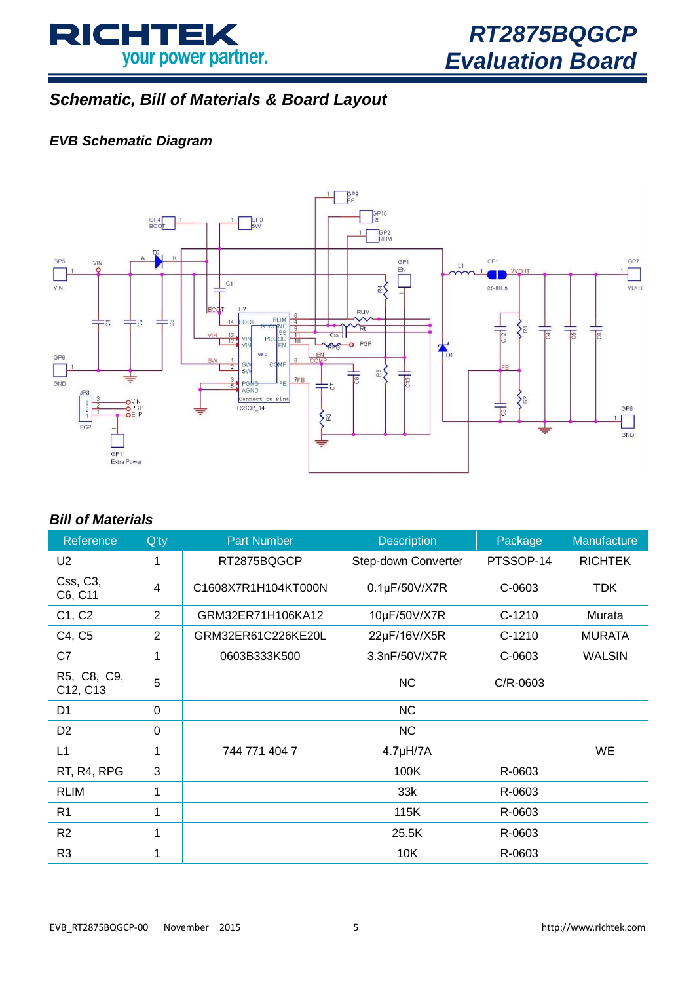

# <span id="page-4-0"></span>*Schematic, Bill of Materials & Board Layout*

### *EVB Schematic Diagram*



#### *Bill of Materials*

| Reference               | $Q'$ ty  | <b>Part Number</b>  | <b>Description</b>    | Package   | Manufacture    |
|-------------------------|----------|---------------------|-----------------------|-----------|----------------|
| U <sub>2</sub>          | 1        | RT2875BQGCP         | Step-down Converter   | PTSSOP-14 | <b>RICHTEK</b> |
| Css, C3,<br>C6, C11     | 4        | C1608X7R1H104KT000N | $0.1\mu$ F/50V/X7R    | C-0603    | <b>TDK</b>     |
| C1, C2                  | 2        | GRM32ER71H106KA12   | 10µF/50V/X7R          | $C-1210$  | Murata         |
| C4, C5                  | 2        | GRM32ER61C226KE20L  | 22µF/16V/X5R          | $C-1210$  | <b>MURATA</b>  |
| C7                      | 1        | 0603B333K500        | 3.3nF/50V/X7R         | C-0603    | <b>WALSIN</b>  |
| R5, C8, C9,<br>C12, C13 | 5        |                     | <b>NC</b>             | C/R-0603  |                |
| D1                      | $\Omega$ |                     | <b>NC</b>             |           |                |
| D <sub>2</sub>          | $\Omega$ |                     | <b>NC</b>             |           |                |
| L1                      | 1        | 744 771 404 7       | 4.7 <sub>µ</sub> H/7A |           | WE             |
| RT, R4, RPG             | 3        |                     | 100K                  | R-0603    |                |
| <b>RLIM</b>             | 1        |                     | 33k                   | R-0603    |                |
| R <sub>1</sub>          | 1        |                     | 115K                  | R-0603    |                |
| R <sub>2</sub>          | 1        |                     | 25.5K                 | R-0603    |                |
| R <sub>3</sub>          | 1        |                     | 10K                   | R-0603    |                |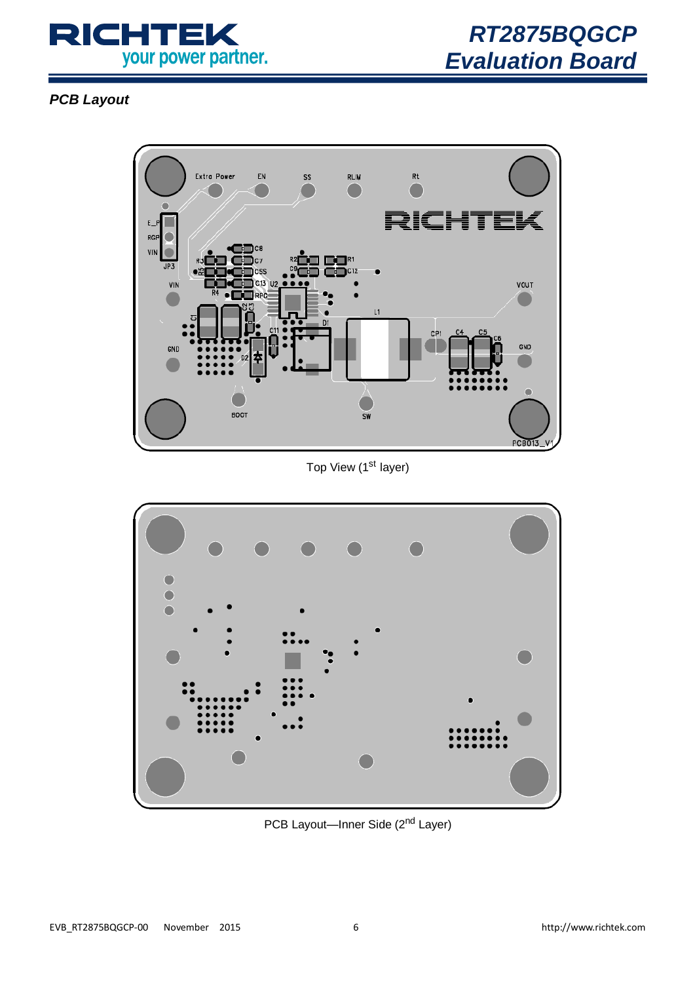

*PCB Layout*



Top View (1<sup>st</sup> layer)



PCB Layout—Inner Side (2<sup>nd</sup> Layer)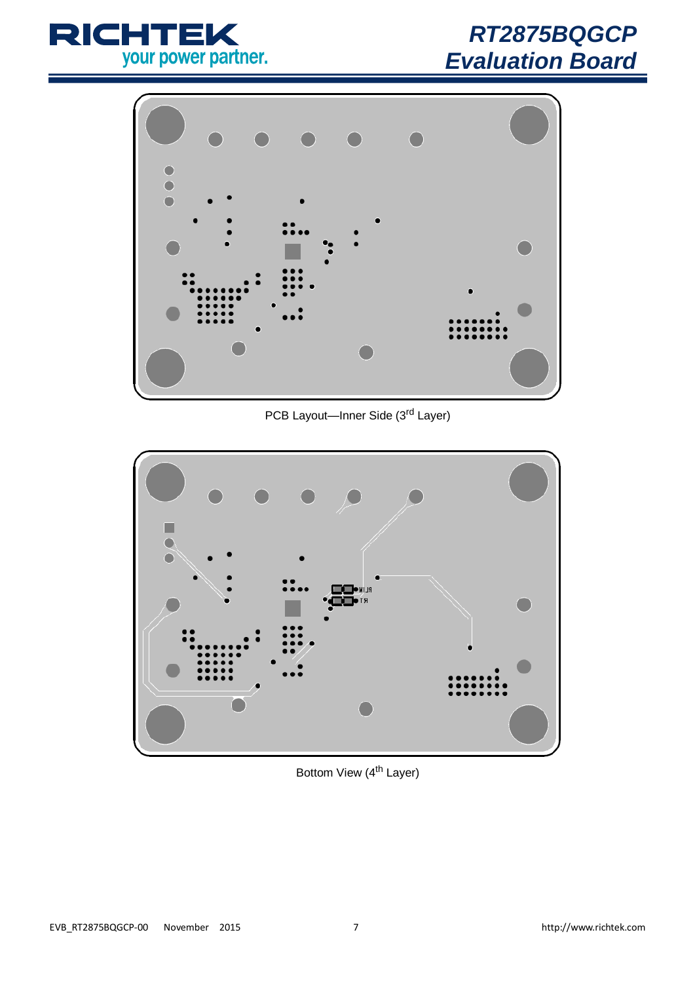

# *RT2875BQGCP Evaluation Board*



PCB Layout--Inner Side (3<sup>rd</sup> Layer)



Bottom View (4<sup>th</sup> Layer)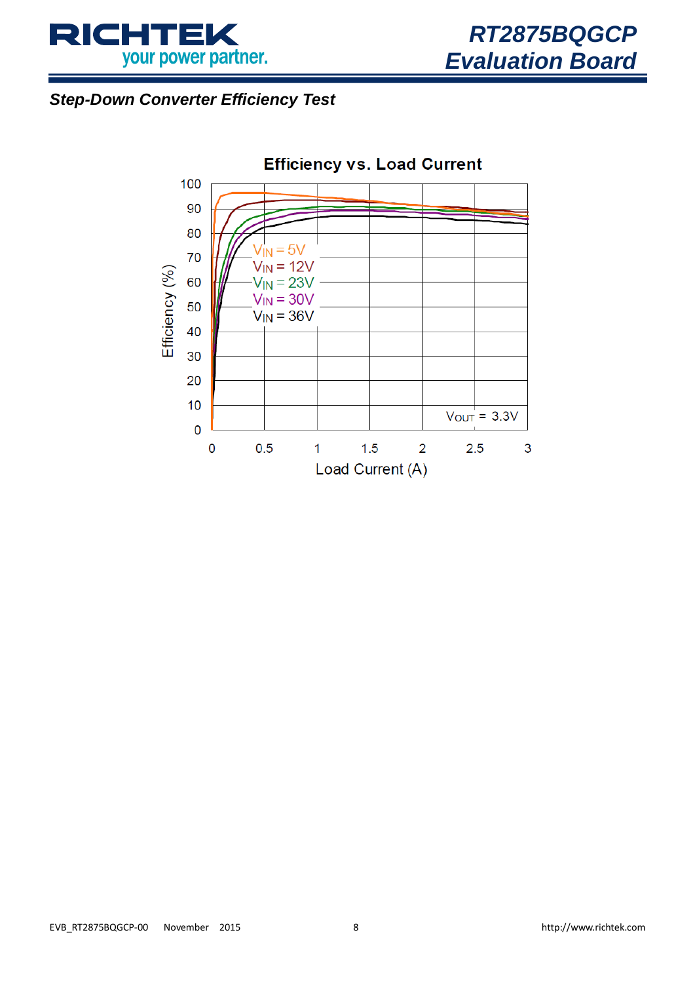

# <span id="page-7-0"></span>*Step-Down Converter Efficiency Test*